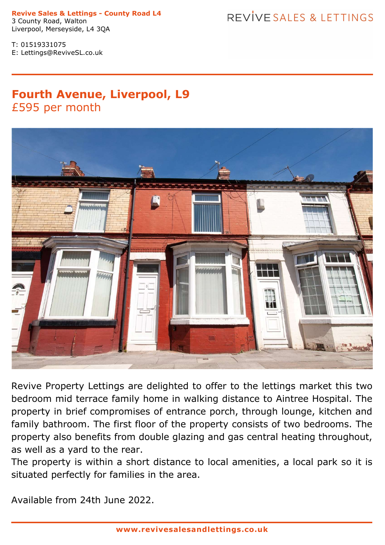**Revive Sales & Lettings - County Road L4** 3 County Road, Walton

## REVIVE SALES & LETTINGS

T: 01519331075 E: Lettings@ReviveSL.co.uk

Liverpool, Merseyside, L4 3QA

## **Fourth Avenue, Liverpool, L9** £595 per month



Revive Property Lettings are delighted to offer to the lettings market this two bedroom mid terrace family home in walking distance to Aintree Hospital. The property in brief compromises of entrance porch, through lounge, kitchen and family bathroom. The first floor of the property consists of two bedrooms. The property also benefits from double glazing and gas central heating throughout, as well as a yard to the rear.

The property is within <sup>a</sup> short distance to local amenities, <sup>a</sup> local park so it is situated perfectly for families in the area.

Available from 24th June 2022.